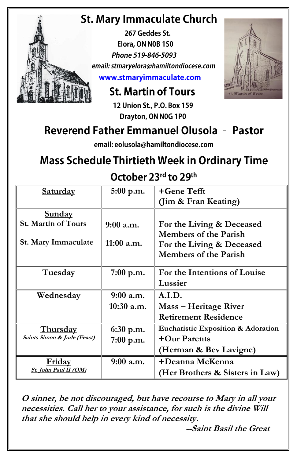## **St. Mary Immaculate Church**

267 Geddes St. Elora, ON NOB 1S0 Phone 519-846-5093 email: stmaryelora@hamiltondiocese.com www.stmaryimmaculate.com

**St. Martin of Tours** 

12 Union St., P.O. Box 159 Drayton, ON N0G 1P0

## **Reverend Father Emmanuel Olusola - Pastor**

email: eolusola@hamiltondiocese.com

# **Mass Schedule Thirtieth Week in Ordinary Time**

October 23rd to 29th

| Saturday                    | $5:00$ p.m.  | +Gene Tefft                        |  |
|-----------------------------|--------------|------------------------------------|--|
|                             |              | (Jim & Fran Keating)               |  |
| <b>Sunday</b>               |              |                                    |  |
| <b>St. Martin of Tours</b>  | $9:00$ a.m.  | For the Living & Deceased          |  |
|                             |              | Members of the Parish              |  |
| St. Mary Immaculate         | 11:00 a.m.   | For the Living & Deceased          |  |
|                             |              | <b>Members of the Parish</b>       |  |
|                             |              |                                    |  |
| <b>Tuesday</b>              | 7:00 p.m.    | For the Intentions of Louise       |  |
|                             |              | Lussier                            |  |
| <u>Wednesday</u>            | $9:00$ a.m.  | A.I.D.                             |  |
|                             | $10:30$ a.m. | Mass – Heritage River              |  |
|                             |              | <b>Retirement Residence</b>        |  |
| <b>Thursday</b>             | $6:30$ p.m.  | Eucharistic Exposition & Adoration |  |
| Saints Simon & Jude (Feast) | $7:00$ p.m.  | +Our Parents                       |  |
|                             |              | (Herman & Bev Lavigne)             |  |
| <u>Friday</u>               | $9:00$ a.m.  | +Deanna McKenna                    |  |
| St. John Paul II (OM)       |              | (Her Brothers & Sisters in Law)    |  |

**O sinner, be not discouraged, but have recourse to Mary in all your necessities. Call her to your assistance, for such is the divine Will that she should help in every kind of necessity.**

**--Saint Basil the Great**

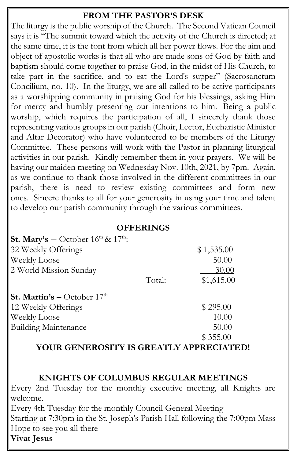#### **FROM THE PASTOR'S DESK**

The liturgy is the public worship of the Church. The Second Vatican Council says it is "The summit toward which the activity of the Church is directed; at the same time, it is the font from which all her power flows. For the aim and object of apostolic works is that all who are made sons of God by faith and baptism should come together to praise God, in the midst of His Church, to take part in the sacrifice, and to eat the Lord's supper" (Sacrosanctum Concilium, no. 10). In the liturgy, we are all called to be active participants as a worshipping community in praising God for his blessings, asking Him for mercy and humbly presenting our intentions to him. Being a public worship, which requires the participation of all, I sincerely thank those representing various groups in our parish (Choir, Lector, Eucharistic Minister and Altar Decorator) who have volunteered to be members of the Liturgy Committee. These persons will work with the Pastor in planning liturgical activities in our parish. Kindly remember them in your prayers. We will be having our maiden meeting on Wednesday Nov. 10th, 2021, by 7pm. Again, as we continue to thank those involved in the different committees in our parish, there is need to review existing committees and form new ones. Sincere thanks to all for your generosity in using your time and talent to develop our parish community through the various committees.

#### **OFFERINGS**

| St. Mary's - October $16^{th}$ & $17^{th}$ : |        |            |
|----------------------------------------------|--------|------------|
| 32 Weekly Offerings                          |        | \$1,535.00 |
| Weekly Loose                                 |        | 50.00      |
| 2 World Mission Sunday                       |        | 30.00      |
|                                              | Total: | \$1,615.00 |
| <b>St. Martin's – October 17th</b>           |        |            |
| 12 Weekly Offerings                          |        | \$295.00   |
| Weekly Loose                                 |        | 10.00      |
| <b>Building Maintenance</b>                  |        | 50.00      |
|                                              |        | \$355.00   |

**YOUR GENEROSITY IS GREATLY APPRECIATED!**

#### **KNIGHTS OF COLUMBUS REGULAR MEETINGS**

Every 2nd Tuesday for the monthly executive meeting, all Knights are welcome.

Every 4th Tuesday for the monthly Council General Meeting

Starting at 7:30pm in the St. Joseph's Parish Hall following the 7:00pm Mass Hope to see you all there

**Vivat Jesus**